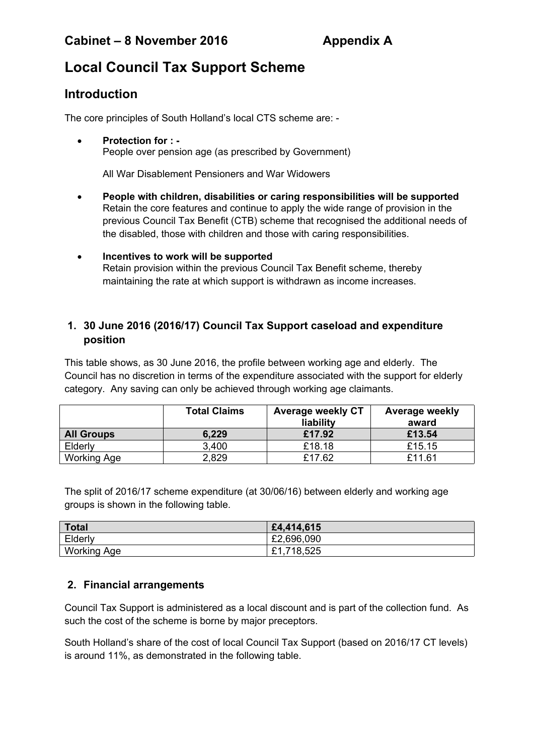# **Cabinet – 8 November 2016 Appendix A**

# **Local Council Tax Support Scheme**

# **Introduction**

The core principles of South Holland's local CTS scheme are: -

 **Protection for : -** People over pension age (as prescribed by Government)

All War Disablement Pensioners and War Widowers

- **People with children, disabilities or caring responsibilities will be supported** Retain the core features and continue to apply the wide range of provision in the previous Council Tax Benefit (CTB) scheme that recognised the additional needs of the disabled, those with children and those with caring responsibilities.
- **Incentives to work will be supported** Retain provision within the previous Council Tax Benefit scheme, thereby maintaining the rate at which support is withdrawn as income increases.

## **1. 30 June 2016 (2016/17) Council Tax Support caseload and expenditure position**

This table shows, as 30 June 2016, the profile between working age and elderly. The Council has no discretion in terms of the expenditure associated with the support for elderly category. Any saving can only be achieved through working age claimants.

|                    | <b>Total Claims</b> | <b>Average weekly CT</b><br>liability | <b>Average weekly</b><br>award |
|--------------------|---------------------|---------------------------------------|--------------------------------|
| <b>All Groups</b>  | 6,229               | £17.92                                | £13.54                         |
| Elderly            | 3,400               | £18.18                                | £15.15                         |
| <b>Working Age</b> | 2,829               | £17.62                                | £11.61                         |

The split of 2016/17 scheme expenditure (at 30/06/16) between elderly and working age groups is shown in the following table.

| Total       | £4,414,615 |
|-------------|------------|
| Elderly     | £2,696,090 |
| Working Age | £1,718,525 |

### **2. Financial arrangements**

Council Tax Support is administered as a local discount and is part of the collection fund. As such the cost of the scheme is borne by major preceptors.

South Holland's share of the cost of local Council Tax Support (based on 2016/17 CT levels) is around 11%, as demonstrated in the following table.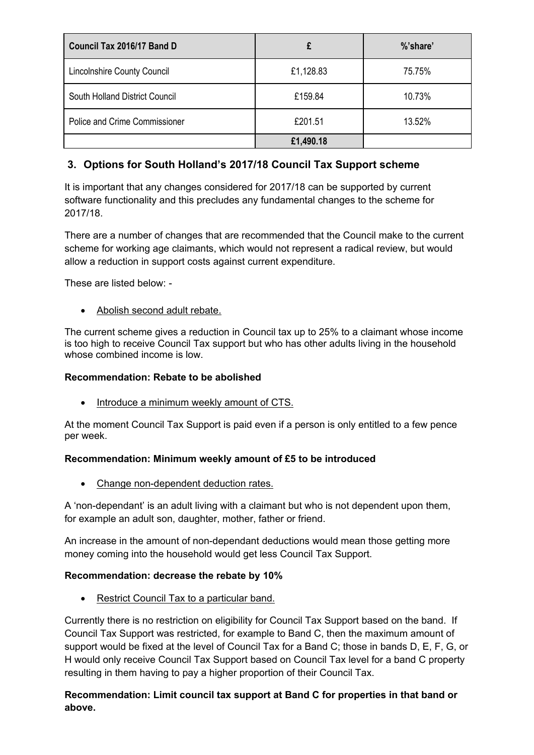| Council Tax 2016/17 Band D         |           | %'share' |  |  |
|------------------------------------|-----------|----------|--|--|
| <b>Lincolnshire County Council</b> | £1,128.83 | 75.75%   |  |  |
| South Holland District Council     | £159.84   | 10.73%   |  |  |
| Police and Crime Commissioner      | £201.51   | 13.52%   |  |  |
|                                    | £1,490.18 |          |  |  |

## **3. Options for South Holland's 2017/18 Council Tax Support scheme**

It is important that any changes considered for 2017/18 can be supported by current software functionality and this precludes any fundamental changes to the scheme for 2017/18.

There are a number of changes that are recommended that the Council make to the current scheme for working age claimants, which would not represent a radical review, but would allow a reduction in support costs against current expenditure.

These are listed below: -

Abolish second adult rebate.

The current scheme gives a reduction in Council tax up to 25% to a claimant whose income is too high to receive Council Tax support but who has other adults living in the household whose combined income is low.

#### **Recommendation: Rebate to be abolished**

Introduce a minimum weekly amount of CTS.

At the moment Council Tax Support is paid even if a person is only entitled to a few pence per week.

#### **Recommendation: Minimum weekly amount of £5 to be introduced**

• Change non-dependent deduction rates.

A 'non-dependant' is an adult living with a claimant but who is not dependent upon them, for example an adult son, daughter, mother, father or friend.

An increase in the amount of non-dependant deductions would mean those getting more money coming into the household would get less Council Tax Support.

#### **Recommendation: decrease the rebate by 10%**

• Restrict Council Tax to a particular band.

Currently there is no restriction on eligibility for Council Tax Support based on the band. If Council Tax Support was restricted, for example to Band C, then the maximum amount of support would be fixed at the level of Council Tax for a Band C; those in bands D, E, F, G, or H would only receive Council Tax Support based on Council Tax level for a band C property resulting in them having to pay a higher proportion of their Council Tax.

#### **Recommendation: Limit council tax support at Band C for properties in that band or above.**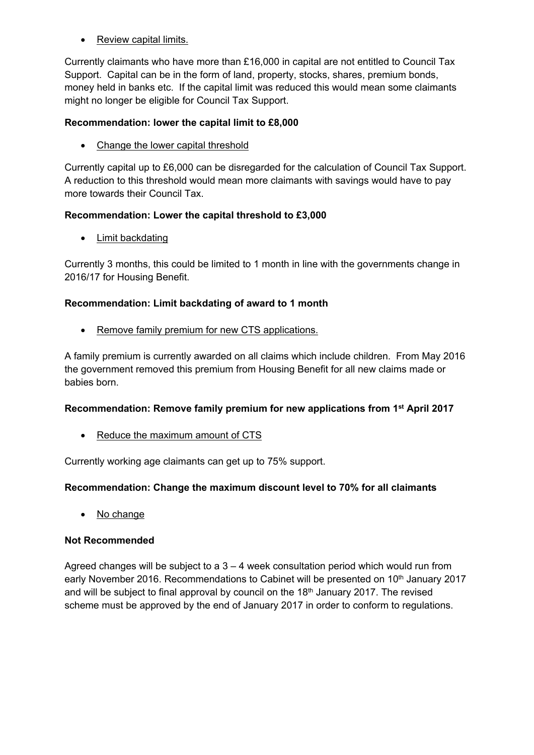• Review capital limits.

Currently claimants who have more than £16,000 in capital are not entitled to Council Tax Support. Capital can be in the form of land, property, stocks, shares, premium bonds, money held in banks etc. If the capital limit was reduced this would mean some claimants might no longer be eligible for Council Tax Support.

#### **Recommendation: lower the capital limit to £8,000**

• Change the lower capital threshold

Currently capital up to £6,000 can be disregarded for the calculation of Council Tax Support. A reduction to this threshold would mean more claimants with savings would have to pay more towards their Council Tax.

#### **Recommendation: Lower the capital threshold to £3,000**

• Limit backdating

Currently 3 months, this could be limited to 1 month in line with the governments change in 2016/17 for Housing Benefit.

#### **Recommendation: Limit backdating of award to 1 month**

• Remove family premium for new CTS applications.

A family premium is currently awarded on all claims which include children. From May 2016 the government removed this premium from Housing Benefit for all new claims made or babies born.

#### **Recommendation: Remove family premium for new applications from 1 st April 2017**

• Reduce the maximum amount of CTS

Currently working age claimants can get up to 75% support.

#### **Recommendation: Change the maximum discount level to 70% for all claimants**

• No change

#### **Not Recommended**

Agreed changes will be subject to  $a$   $3 - 4$  week consultation period which would run from early November 2016. Recommendations to Cabinet will be presented on 10<sup>th</sup> January 2017 and will be subject to final approval by council on the 18<sup>th</sup> January 2017. The revised scheme must be approved by the end of January 2017 in order to conform to regulations.